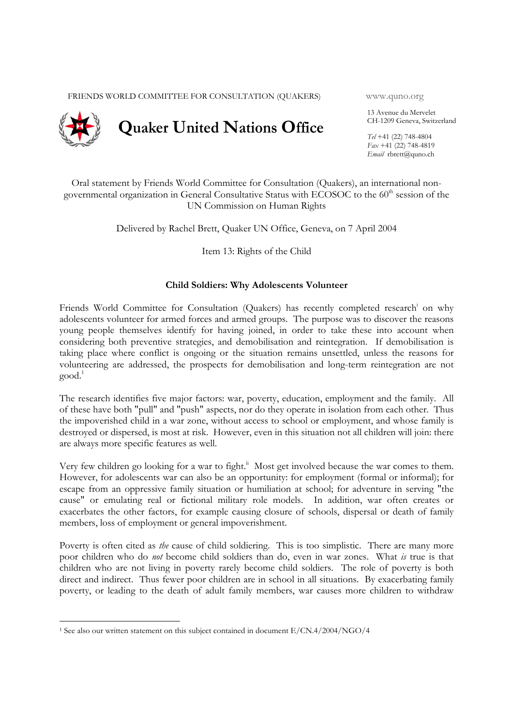FRIENDS WORLD COMMITTEE FOR CONSULTATION (QUAKERS) www.quno.org



13 Avenue du Mervelet CH-1209 Geneva, Switzerland

*Tel* +41 (22) 748-4804 *Fax* +41 (22) 748-4819 *Email* rbrett@quno.ch

Oral statement by Friends World Committee for Consultation (Quakers), an international nongovernmental organization in General Consultative Status with ECOSOC to the 60<sup>th</sup> session of the UN Commission on Human Rights

Delivered by Rachel Brett, Quaker UN Office, Geneva, on 7 April 2004

Item 13: Rights of the Child

## **Child Soldiers: Why Adolescents Volunteer**

Friends World Committee for Consultation (Quakers) has recently completed research<sup>i</sup> on why adolescents volunteer for armed forces and armed groups. The purpose was to discover the reasons young people themselves identify for having joined, in order to take these into account when considering both preventive strategies, and demobilisation and reintegration. If demobilisation is taking place where conflict is ongoing or the situation remains unsettled, unless the reasons for volunteering are addressed, the prospects for demobilisation and long-term reintegration are not good.1

The research identifies five major factors: war, poverty, education, employment and the family. All of these have both "pull" and "push" aspects, nor do they operate in isolation from each other. Thus the impoverished child in a war zone, without access to school or employment, and whose family is destroyed or dispersed, is most at risk. However, even in this situation not all children will join: there are always more specific features as well.

Very few children go looking for a war to fight.<sup>ii</sup> Most get involved because the war comes to them. However, for adolescents war can also be an opportunity: for employment (formal or informal); for escape from an oppressive family situation or humiliation at school; for adventure in serving "the cause" or emulating real or fictional military role models. In addition, war often creates or exacerbates the other factors, for example causing closure of schools, dispersal or death of family members, loss of employment or general impoverishment.

Poverty is often cited as *the* cause of child soldiering. This is too simplistic. There are many more poor children who do *not* become child soldiers than do, even in war zones. What *is* true is that children who are not living in poverty rarely become child soldiers. The role of poverty is both direct and indirect. Thus fewer poor children are in school in all situations. By exacerbating family poverty, or leading to the death of adult family members, war causes more children to withdraw

-

<sup>1</sup> See also our written statement on this subject contained in document E/CN.4/2004/NGO/4